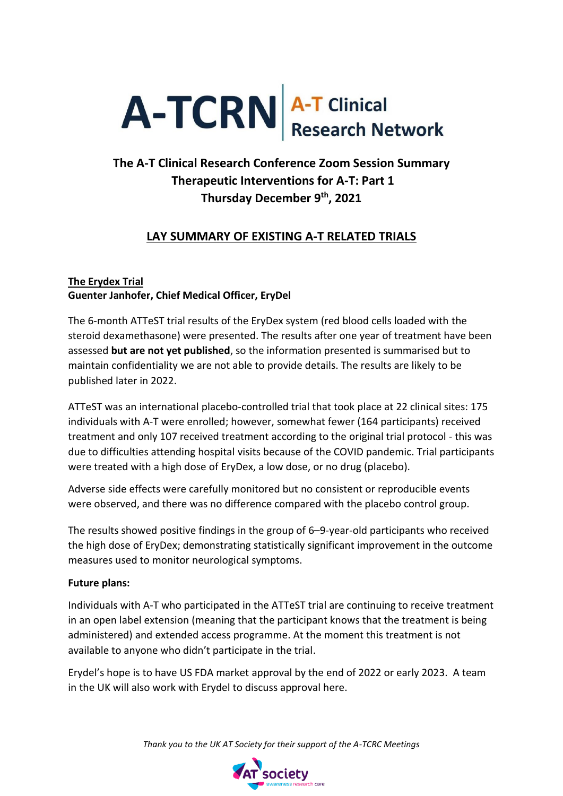# A-TCRN A-T Clinical

# **The A-T Clinical Research Conference Zoom Session Summary Therapeutic Interventions for A-T: Part 1 Thursday December 9th, 2021**

# **LAY SUMMARY OF EXISTING A-T RELATED TRIALS**

## **The Erydex Trial Guenter Janhofer, Chief Medical Officer, EryDel**

The 6-month ATTeST trial results of the EryDex system (red blood cells loaded with the steroid dexamethasone) were presented. The results after one year of treatment have been assessed **but are not yet published**, so the information presented is summarised but to maintain confidentiality we are not able to provide details. The results are likely to be published later in 2022.

ATTeST was an international placebo-controlled trial that took place at 22 clinical sites: 175 individuals with A-T were enrolled; however, somewhat fewer (164 participants) received treatment and only 107 received treatment according to the original trial protocol - this was due to difficulties attending hospital visits because of the COVID pandemic. Trial participants were treated with a high dose of EryDex, a low dose, or no drug (placebo).

Adverse side effects were carefully monitored but no consistent or reproducible events were observed, and there was no difference compared with the placebo control group.

The results showed positive findings in the group of 6–9-year-old participants who received the high dose of EryDex; demonstrating statistically significant improvement in the outcome measures used to monitor neurological symptoms.

# **Future plans:**

Individuals with A-T who participated in the ATTeST trial are continuing to receive treatment in an open label extension (meaning that the participant knows that the treatment is being administered) and extended access programme. At the moment this treatment is not available to anyone who didn't participate in the trial.

Erydel's hope is to have US FDA market approval by the end of 2022 or early 2023. A team in the UK will also work with Erydel to discuss approval here.

*Thank you to the UK AT Society for their support of the A-TCRC Meetings*

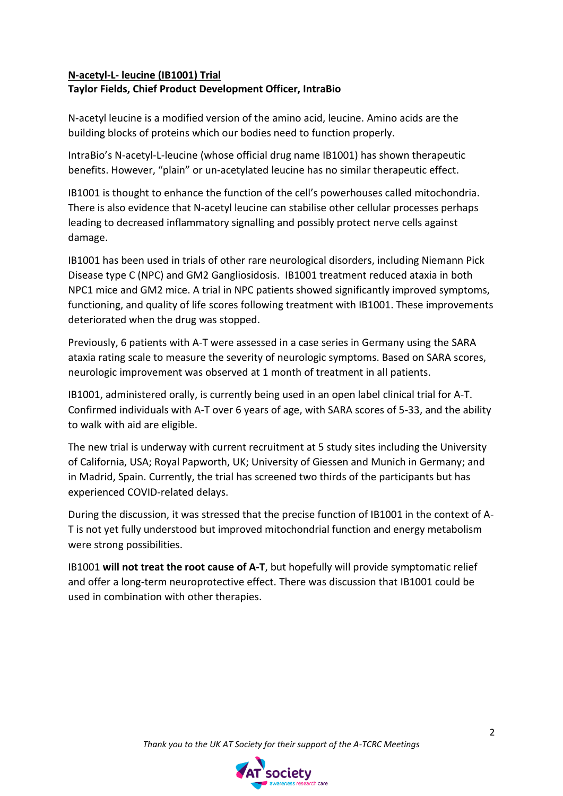# **N-acetyl-L- leucine (IB1001) Trial**

#### **Taylor Fields, Chief Product Development Officer, IntraBio**

N-acetyl leucine is a modified version of the amino acid, leucine. Amino acids are the building blocks of proteins which our bodies need to function properly.

IntraBio's N-acetyl-L-leucine (whose official drug name IB1001) has shown therapeutic benefits. However, "plain" or un-acetylated leucine has no similar therapeutic effect.

IB1001 is thought to enhance the function of the cell's powerhouses called mitochondria. There is also evidence that N-acetyl leucine can stabilise other cellular processes perhaps leading to decreased inflammatory signalling and possibly protect nerve cells against damage.

IB1001 has been used in trials of other rare neurological disorders, including Niemann Pick Disease type C (NPC) and GM2 Gangliosidosis. IB1001 treatment reduced ataxia in both NPC1 mice and GM2 mice. A trial in NPC patients showed significantly improved symptoms, functioning, and quality of life scores following treatment with IB1001. These improvements deteriorated when the drug was stopped.

Previously, 6 patients with A-T were assessed in a case series in Germany using the SARA ataxia rating scale to measure the severity of neurologic symptoms. Based on SARA scores, neurologic improvement was observed at 1 month of treatment in all patients.

IB1001, administered orally, is currently being used in an open label clinical trial for A-T. Confirmed individuals with A-T over 6 years of age, with SARA scores of 5-33, and the ability to walk with aid are eligible.

The new trial is underway with current recruitment at 5 study sites including the University of California, USA; Royal Papworth, UK; University of Giessen and Munich in Germany; and in Madrid, Spain. Currently, the trial has screened two thirds of the participants but has experienced COVID-related delays.

During the discussion, it was stressed that the precise function of IB1001 in the context of A-T is not yet fully understood but improved mitochondrial function and energy metabolism were strong possibilities.

IB1001 **will not treat the root cause of A-T**, but hopefully will provide symptomatic relief and offer a long-term neuroprotective effect. There was discussion that IB1001 could be used in combination with other therapies.

*Thank you to the UK AT Society for their support of the A-TCRC Meetings*

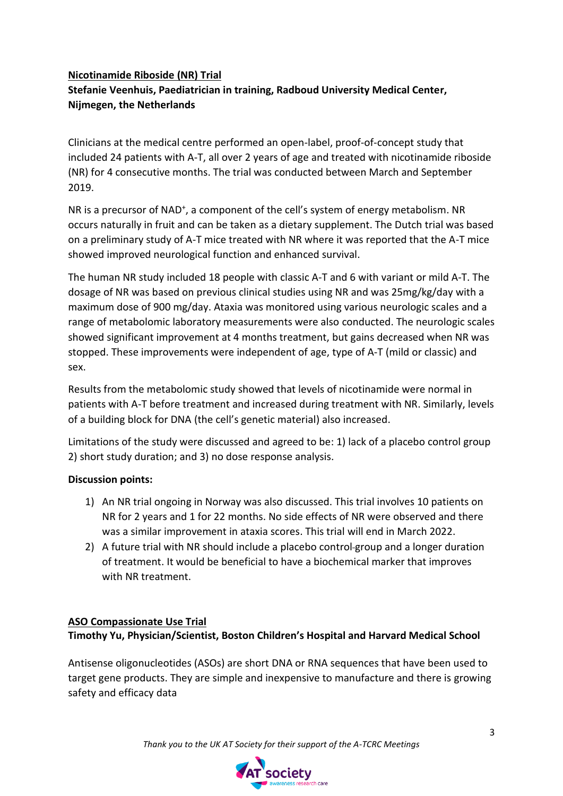## **Nicotinamide Riboside (NR) Trial**

# **Stefanie Veenhuis, Paediatrician in training, Radboud University Medical Center, Nijmegen, the Netherlands**

Clinicians at the medical centre performed an open-label, proof-of-concept study that included 24 patients with A-T, all over 2 years of age and treated with nicotinamide riboside (NR) for 4 consecutive months. The trial was conducted between March and September 2019.

NR is a precursor of NAD<sup>+</sup>, a component of the cell's system of energy metabolism. NR occurs naturally in fruit and can be taken as a dietary supplement. The Dutch trial was based on a preliminary study of A-T mice treated with NR where it was reported that the A-T mice showed improved neurological function and enhanced survival.

The human NR study included 18 people with classic A-T and 6 with variant or mild A-T. The dosage of NR was based on previous clinical studies using NR and was 25mg/kg/day with a maximum dose of 900 mg/day. Ataxia was monitored using various neurologic scales and a range of metabolomic laboratory measurements were also conducted. The neurologic scales showed significant improvement at 4 months treatment, but gains decreased when NR was stopped. These improvements were independent of age, type of A-T (mild or classic) and sex.

Results from the metabolomic study showed that levels of nicotinamide were normal in patients with A-T before treatment and increased during treatment with NR. Similarly, levels of a building block for DNA (the cell's genetic material) also increased.

Limitations of the study were discussed and agreed to be: 1) lack of a placebo control group 2) short study duration; and 3) no dose response analysis.

# **Discussion points:**

- 1) An NR trial ongoing in Norway was also discussed. This trial involves 10 patients on NR for 2 years and 1 for 22 months. No side effects of NR were observed and there was a similar improvement in ataxia scores. This trial will end in March 2022.
- 2) A future trial with NR should include a placebo control group and a longer duration of treatment. It would be beneficial to have a biochemical marker that improves with NR treatment.

#### **ASO Compassionate Use Trial Timothy Yu, Physician/Scientist, Boston Children's Hospital and Harvard Medical School**

Antisense oligonucleotides (ASOs) are short DNA or RNA sequences that have been used to target gene products. They are simple and inexpensive to manufacture and there is growing safety and efficacy data

*Thank you to the UK AT Society for their support of the A-TCRC Meetings*